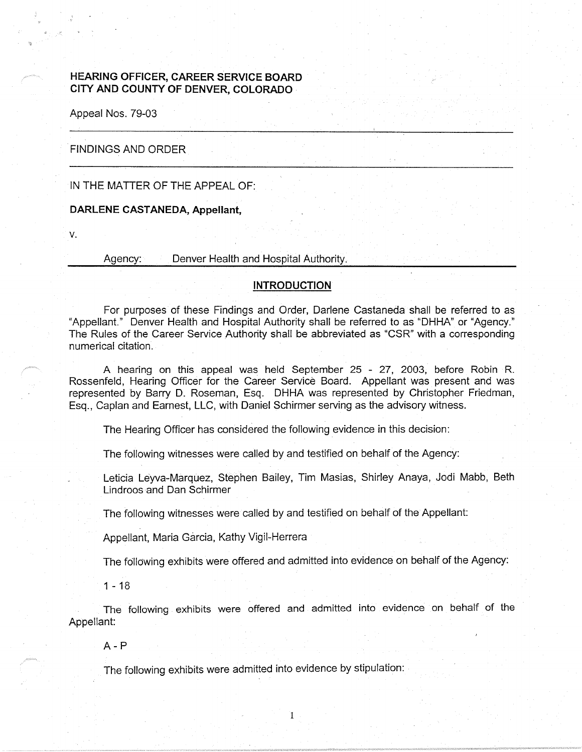# **HEARING OFFICER, CAREER SERVICE BOARD CITY AND COUNTY OF DENVER, COLORADO** .

Appeal Nos. 79-03

## . FINDINGS AND ORDER

## IN THE MATTER OF THE APPEAL OF:

### **DARLENE CASTANEDA, Appellant,**

V.

Agency: Denver Health and Hospital Authority.

#### **INTRODUCTION**

For purposes of these Findings and Order, Darlene Castaneda shall be referred to as "Appellant." Denver Health and Hospital Authority shall be referred to as "DHHA" or "Agency." The Rules of the Career Service Authority shall be abbreviated as "CSR" with a corresponding numerical citation.

A hearing on this appeal was held September 25 - 27, 2003, before Robin R. Rossenfeld, Hearing Officer for the Career Service Board. Appellant was present and was represented by Barry D. Roseman, Esq. DHHA was represented by Christopher Friedman, Esq., Caplan and Earnest, LLC, with Daniel Schirmer serving as the advisory witness.

The Hearing Officer has considered the following evidence in this decision:

The following witnesses were called by and testified on behalf of the Agency:

Leticia Leyva-Marquez, Stephen Bailey, Tim Masias, Shirley Anaya, Jodi Mabb, Beth Lindroos and Dan Schirmer

The following witnesses were called by and testified on behalf of the Appellant:

Appellant, Maria Garcia, Kathy Vigil-Herrera

The following exhibits were offered and admitted into evidence on behalf of the Agency:

 $1 - 18$ 

The following exhibits were offered and admitted into evidence on behalf of the Appellant:

A-P

The following exhibits were admitted into evidence by stipulation: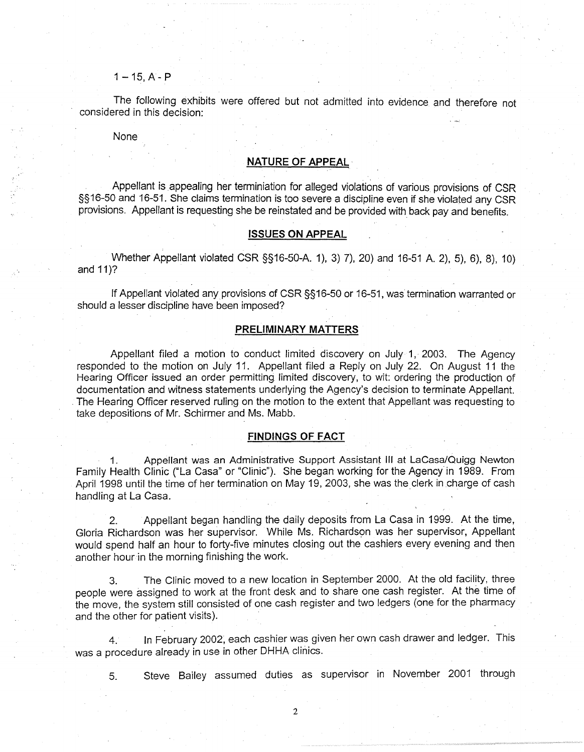**1-15,A-P** 

The following exhibits were offered but not admitted into evidence and therefore not considered in this decision:

None

#### **NATURE OF APPEAL·**

Appellant is appealing her terminiation for alleged violations of various. provisions of CSR §§16-50 and 16-51. She claims termination is too severe a discipline even if she violated any CSR provisions. Appellant is requesting she be reinstated and be provided with back pay and benefits.

#### **ISSUES ON APPEAL**

Whether Appellant violated CSR §§16-50-A. 1), 3) 7), 20) and 16-51 A. 2), 5), 6), 8), 10) and 11)?

If Appellant violated any provisions of CSR §§16-50 or 16-51, was termination warranted or should a lesser discipline have been imposed?

## **PRELIMINARY MATTERS**

Appellant filed a motion to conduct limited discovery on July 1, 2003. The Agency responded to the motion on July 11. Appellant filed a Reply on July 22. On August 11 the Hearing Officer issued an order permitting limited discovery, to wit: ordering the production of documentation and witness statements underlying the Agency's decision to terminate Appellant. . The Hearing Officer reserved ruling on the motion to the extent that Appellant was requesting to take depositions of Mr. Schirmer and Ms. Mabb.

#### **FINDINGS OF FACT**

1. Appellant was an Administrative Support Assistant Ill at Lacasa/Quigg Newton Family Health Clinic ("La Casa" or "Clinic"). She began working for the Agency in 1989. From April 1998 until the time of her termination on May 19, 2003, she was the clerk in charge of cash handling at La Casa.

2. Appellant began handling the daily deposits from La Casa in 1999. At the time, Gloria Richardson was her supervisor. While Ms. Richardson was her supervisor, Appellant would spend half an hour to forty-five minutes closing out the cashiers every evening and then another hour in the morning finishing the work.

3. The Clinic moved to a new location in September 2000. At the old facility, three people were assigned to work at the front desk and to share one cash register. At the time of the move, the system still consisted of one cash register and two ledgers (one for the pharmacy and the other for patient visits).

4. In February 2002, each cashier was given her own cash drawer and ledger. This was a procedure already in use in other DHHA clinics.

5. Steve Bailey assumed duties as supervisor in November 2001 through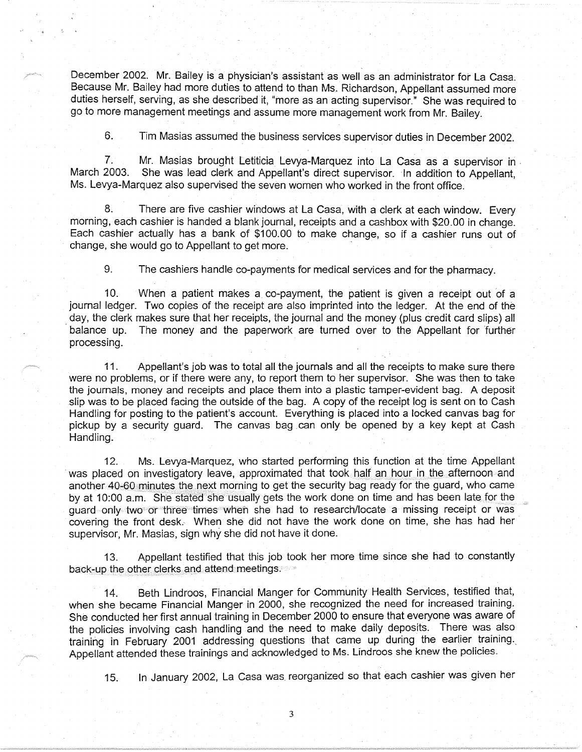December 2002. Mr. Bailey is a physician's assistant as well as an administrator for La Casa, Because Mr. Bailey had more duties to attend to than Ms. Richardson, Appellant assumed more duties herself, serving, as she described it, "more as an acting supervisor." She was required to go to more management meetings and assume more management work from Mr. Bailey.

6. Tim Masias assumed the business services supervisor duties in December 2002.

7. Mr. Masias brought Letiticia Levya-Marquez into La Casa as a supervisor in .<br>March 2003. She was lead clerk and Appellant's direct supervisor. In addition to Appellant She was lead clerk and Appellant's direct supervisor. In addition to Appellant, Ms. Levya-Marquez also supervised the seven women who worked in the front office.

8. There are five cashier windows at La Casa, with a clerk at each window. Every morning, each cashier is handed a blank journal, receipts and a cashbox with \$20.00 in change. Each cashier actually has a bank of \$100.00 to make change, so if a cashier runs out of change, she would go to Appellant to get more.

9. The cashiers handle co-payments for medical services and for the pharmacy.

10. When a patient makes a co-payment, the patient is given a receipt out of a journal ledger. Two copies of the receipt are also imprinted into the ledger. At the end of the day, the clerk makes sure that her receipts, the journal and the money (plus credit card slips) all balance up. The money and the paperwork are turned over to the Appellant for further processing.

11. Appellant's job was to total all the journals and all the receipts to make sure there were no problems, or if there were any, to report them to her supervisor. She was then to take the journals, money and receipts and place them into a plastic tamper-evident bag. A deposit slip was to be placed facing the outside of the bag. A copy of the receipt log is sent on to Cash Handling for posting to the patient's account. Everything is placed into a locked canvas bag for pickup by a security guard. The canvas bag can only be opened by a key kept at Cash Handling.

12. Ms. Levya-Marquez, who started performing this function at the time Appellant was placed on investigatory leave, approximated that took half an hour in the afternoon-and another 40-60 minutes the next morning to get the security bag ready for the guard, who came by at 10:00 a.m. She stated she usually gets the work done on time and has been late for the guard only two>or three times when she had to research/locate a missing receipt or was covering the front desk. When she did not have the work done on time, she has had her supervisor, Mr. Masias, sign why she did not have it done.

13. Appellant testified that this job took her more time since she had to constantly back-up the other clerks and attend meetings.

14. Beth Lindroos, Financial Manger for Community Health Services, testified that, when she became Financial Manger in 2000, she recognized the need for increased training. She conducted her first annual training in December 2000 to ensure that everyone was aware of the policies involving cash handling and the need to make daily deposits. There was also training in February 2001 addressing questions that came up during the earlier training. Appellant attended these trainings and acknowledged to Ms. Undroos she knew the policies.

15. In January 2002, La Casa was reorganized so that each cashier was given her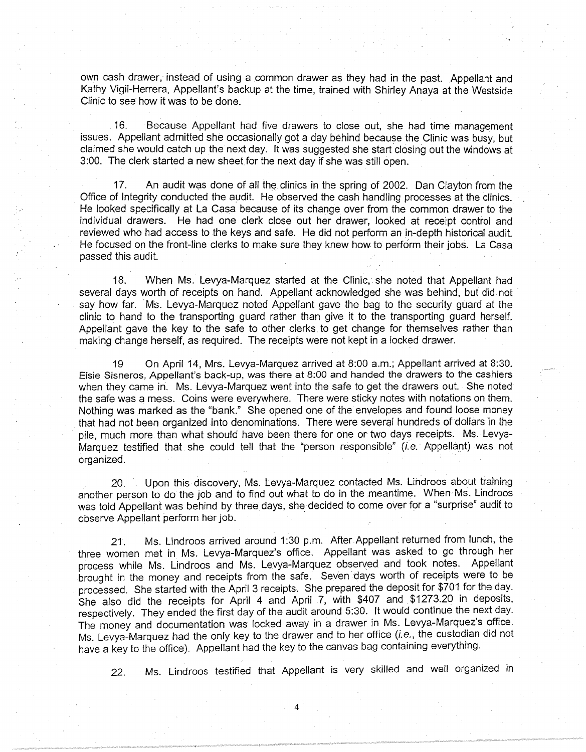own cash drawer, instead of using a common drawer as they had in the past. Appellant and Kathy Vigil-Herrera, Appellant's backup at the time, trained with Shirley Anaya at the Westside Clinic to see how it was to be done.

16. Because Appellant had five drawers to close out, she had time management issues. Appellant admitted she occasionally got a day behind because the Clinic was busy, but claimed she would catch up the next day. It was suggested she start closing out the windows at 3:00. The clerk started a new sheet for the next day if she was still open.

17. An audit was done of all the clinics in the spring of 2002. Dan Clayton from the Office of Integrity conducted the audit. He observed the cash handling processes at the clinics. He looked specifically at La Casa because of its change over from the common drawer to the individual drawers. He had one clerk close out her drawer, looked at receipt control and reviewed who had access to the keys and safe. He did not perform an in-depth historical audit. He focused on the front-line clerks to make sure they knew how to perform their jobs. La Casa passed this audit.

18. When Ms. Levya-Marquez started at the Clinic, she noted that Appellant had several days worth of receipts on hand. Appellant acknowledged she was behind, but did not say how far. Ms. Levya-Marquez noted Appellant gave the bag to the security guard at the clinic to hand to the transporting guard rather than give it to the transporting guard herself. Appellant gave the key to the safe to other clerks to get change for themselves rather than making change herself, as required. The receipts were not kept in a locked drawer.

19 On April 14, Mrs. Levya-Marquez arrived at 8:00 a.m.; Appellant arrived at 8:30. Elsie Sisneros, Appellant's back-up, was there at 8:00 and handed the drawers to the cashiers when they came in. Ms. Levya-Marquez went into the safe to get the drawers out. She noted the safe was a mess. Coins were everywhere. There were sticky notes with notations on them. Nothing was marked as the "bank." She opened one of the envelopes and found loose money that had not been organized into denominations. There were several hundreds of dollars in the pile, much more than what should have been there for one or two days receipts. Ms. Levya-Marquez testified that she could tell that the "person responsible" (i.e. Appellant) was not organized.

20. Upon this discovery, Ms. Levya-Marquez contacted Ms. Lindroos about training another person to do the job and to find out what to do in the meantime. When-Ms. Lindroos was told Appellant was behind by three days, she decided to come over for a "surprise" audit to observe Appellant perform her job.

21. Ms. Lindroos arrived around 1 :30 p.m. After Appellant returned from lunch, the three women met in Ms. Levya-Marquez's office. Appellant was asked to go through her process while Ms. Lindroos and Ms. Levya-Marquez observed and took notes. Appellant brought in the money and receipts from the safe. Seven days worth of receipts were to be processed. She started with the April 3 receipts. She prepared the deposit for \$701 for the day. She also did the receipts for April 4 and April 7, with \$407 and \$1273.20 in deposits, respectively. They ended the first day of the audit around 5:30. It would continue the next day. The money and documentation was locked away in a drawer in Ms. Levya-Marquez's office. Ms. Levya-Marquez had the only key to the drawer and to her office (i.e., the custodian did not have a key to the office). Appellant had the key to the canvas bag containing everything.

22. Ms. Lindroos testified that Appellant is very skilled and well organized in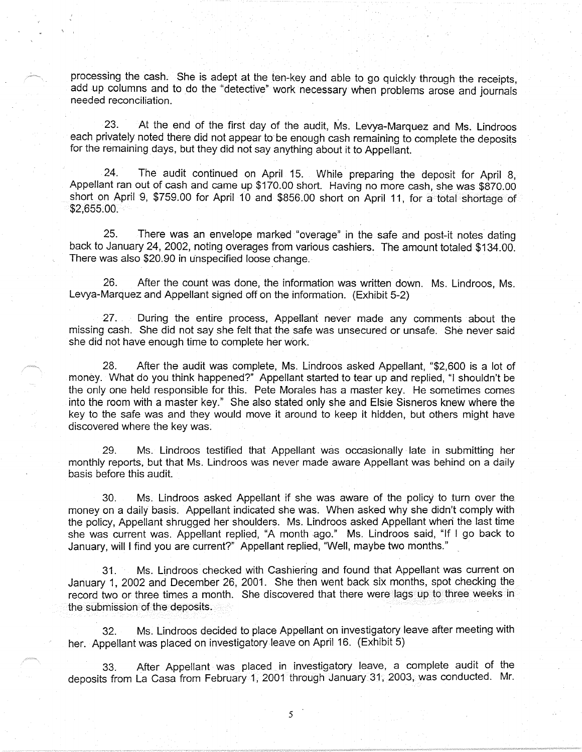processing the cash. She is adept at the ten-key and able to go quickly through the receipts, add up columns and to do the "detective" work necessary when problems arose and journals needed reconciliation.

23. At the end of the first day of the audit, Ms. Levya-Marquez and Ms. Lindroos each privately noted there did not appear to be enough cash remaining to complete the deposits for the remaining days, but they did not say anything about it to Appellant.

24. The audit continued on April 15. While preparing the deposit for April 8, Appellant ran out of cash and came up \$170.00 short. Having no more cash, she was \$870.00 short on April 9, \$759.00 for April 10 and \$856.00 short on April 11, for a total shortage of  $$2,655.00.$ 

25. There was an envelope marked "overage" in the safe and post-it notes dating back to January 24, 2002, noting overages from various cashiers. The amount totaled \$134.00. There was also \$20.90 in unspecified loose change.•

26. After the count was done, the information was written down. Ms. Lindroos, Ms. Levya-Marquez and Appellant signed off on the information. (Exhibit 5-2)

27. During the entire process, Appellant never made any comments about the missing cash. She did not say she felt that the safe was unsecured or unsafe. She never said she did not have enough time to complete her work.

28. After the audit was complete, Ms. Lindroos asked Appellant, "\$2,600 is a lot of money. What do you think happened?" Appellant started to tear up and replied, "I shouldn't be the only one held responsible for this. Pete Morales has a master key. He sometimes comes into the room with a master key." She also stated only she and Elsie Sisneros knew where the key to the safe was and they would move it around to keep it hidden, but others might have discovered where the key was.

29. Ms. Lindroos testified that Appellant was occasionally late in submitting her monthly reports, but that Ms. Lindroos was never made aware Appellant was behind on a daily basis before this audit.

30. Ms. Lindroos asked Appellant if she was aware of the policy to turn over the money on a daily basis. Appellant indicated she was. When asked why she didn't comply with the policy, Appellant shrugged her shoulders. Ms. Lindroos asked Appellant wheri the last time she was current was. Appellant replied, "A month ago." Ms. Lindroos said, "If I go back to January, will I find you are current?" Appellant replied, "Well, maybe two months."

31. Ms. Undroos checked with Cashiering and found that Appellant was current on January 1, 2002 and December 26, 2001. She then went back six months, spot checking the record two or three times a month. She discovered that there were lags up to three weeks in the submission of the deposits.

32. Ms. Lindroos decided to place Appellant on investigatory leave after meeting with her. Appellant was placed on investigatory leave on April 16. (Exhibit 5)

33. After Appellant was placed in investigatory leave, a complete audit of the deposits from La Casa from February 1, 2001 through January 31, 2003, was conducted. Mr.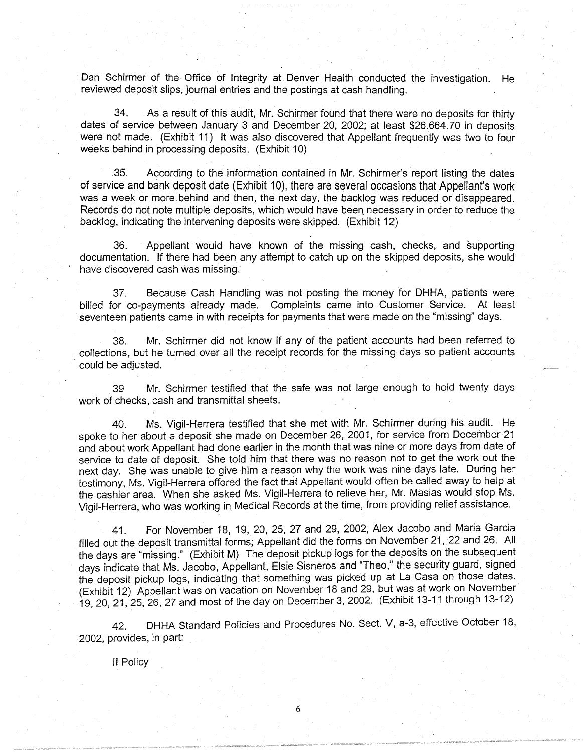Dan· Schirmer of the Office of Integrity at Denver Health conducted the investigation. He reviewed deposit slips, journal entries and the postings at cash handling.

34. As a result of this audit, Mr. Schirmer found that there were no deposits for thirty dates of service between January 3 and December 20, 2002; at least \$26.664. 70 in deposits were not made. (Exhibit 11) It was also discovered that Appellant frequently was two to four weeks behind in processing deposits. (Exhibit 10)

35. According to the information contained in Mr. Schirmer's report listing the dates of service and bank deposit date (Exhibit 10), there are several occasions that Appellant's work was a week or more behind and then, the next day, the backlog was reduced or disappeared. Records do not note multiple deposits, which would have been. necessary in order to reduce the backlog, indicating the intervening deposits were skipped. (Exhibit 12)

36. Appellant would have known of the missing cash, checks, and supporting documentation. If there had been any attempt to catch up on the skipped deposits, she would have discovered cash was missing.

37. Because Cash Handling was not posting the money for DHHA, patients were billed for co-payments already made. Complaints came into Customer Service. At least seventeen patients came in with receipts for payments that were made on the "missing" days.

38. Mr. Schirmer did not know if any of the patient accounts had been referred to collections, but he turned over all the receipt records for the missing days so patient accounts could be adjusted.

39 Mr. Schirmer testified that the safe was not large enough to hold twenty days work of checks, cash and transmittal sheets.

40. Ms. Vigil-Herrera testified that she met with Mr. Schirmer during his audit. He spoke to her about a deposit she made on December 26, 2001, for service from December 21 and about work Appellant had done earlier in the month that was nine or more days from date of service to date of deposit. She told him that there was no reason not to get the work out the next day. She was unable to give him a reason why the work was nine days late. During her testimony, Ms. Vigil-Herrera offered the fact that Appellant would often be called away to help at the cashier area. When she asked Ms. Vigil-Herrera to relieve her, Mr. Masias would stop Ms. Vigil-Herrera, who was working in Medical Records at the time, from providing relief assistance.

41. For November 18, 19, 20, 25, 27 and 29, 2002, Alex Jacobo and Maria Garcia filled out the deposit transmittal forms; Appellant did the forms on November 21, 22 and 26. All the days are "missing." (Exhibit M) The deposit pickup logs for the deposits on the subsequent days indicate that Ms. Jacobo, Appellant, Elsie Sisneros and "Theo," the security guard, signed the deposit pickup logs, indicating that something was picked up at La Casa on those dates. (Exhibit 12) Appellant was on vacation on November 18 and 29, but was at work on November 19, 20, 21, 25, 26, 27 and most of the.day on December 3, 2002. (Exhibit 13-11 through 13-12)

42. DHHA Standard Policies and Procedures No. Sect. V, a-3, effective October 18, 2002, provides, in part:

<sup>11</sup>Policy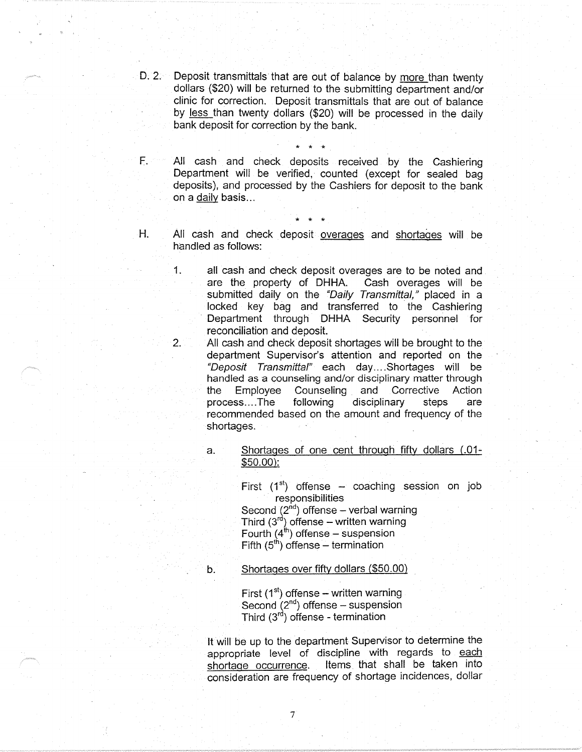D. 2. Deposit transmittals that are out of balance by more than twenty dollars (\$20) will be returned to the submitting department and/or clinic for correction. Deposit transmittals that are out of balance by less than twenty dollars (\$20) will be processed in the daily bank deposit for correction by the bank.

\* \* ·\*

\* \* \*

F. All cash and check deposits received by the Cashiering Department will be verified, counted (except for sealed bag deposits), and processed by the Cashiers for deposit to the bank on a daily basis ...

H. All cash and check deposit overages and shortages will be handled as follows:

> 1. all cash and check deposit overages are to be noted and are the property of DHHA. Cash overages will be submitted daily on the "Daily Transmittal," placed in a locked key bag and transferred to the Cashiering Department through DHHA Security personnel for reconciliation and deposit.

> 2. All cash and check deposit shortages will be brought to the department Supervisor's attention and reported on the "Deposit Transmittal" each day .... Shortages will be handled as a counseling and/or disciplinary matter through the Employee Counseling and Corrective Action process....The following disciplinary steps are recommended based on the amount and frequency of the shortages.

> > a. Shortages of one cent through fifty dollars (.01-\$50.00):

> > > First  $(1<sup>st</sup>)$  offense - coaching session on job responsibilities

Second  $(2^{nd})$  offense – verbal warning Third  $(3<sup>rd</sup>)$  offense – written warning Fourth  $(4<sup>th</sup>)$  offense – suspension Fifth  $(5<sup>th</sup>)$  offense – termination

b.

Shortages over fifty dollars {\$50.00)

First  $(1<sup>st</sup>)$  offense – written warning Second (2<sup>nd</sup>) offense - suspension Third (3rd) offense - termination

It will be up to the department Supervisor to determine the appropriate level of discipline with regards to each shortage occurrence. Items. that shall be taken into consideration are frequency of shortage incidences, dollar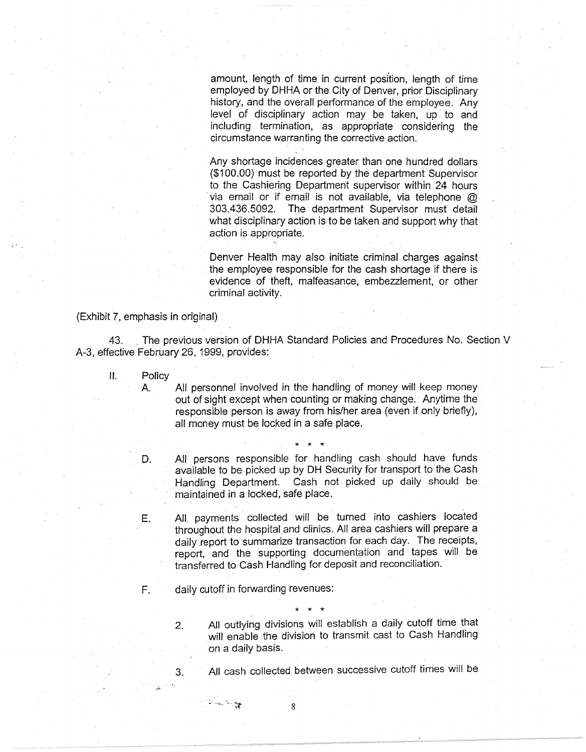amount, length of time in current position, length of time employed by DHHA or the City of Denver, prior Disciplinary history, and the overall performance of the employee. Any level of disciplinary action may be taken, up to and including termination, as appropriate considering the circumstance warranting the corrective action.

Any shortage incidences greater than one hundred dollars (\$100.00) must be reported by the department Supervisor to the Cashiering Department supervisor within 24 hours via email or if email is not available, via telephone  $@$ 303.436.5092. The department Supervisor must detail what disciplinary action is to be taken and support why that action is appropriate.

Denver Health may also initiate criminal charges against the employee responsible for the cash shortage if there is evidence of theft, malfeasance, embezzlement, or other criminal activity.

(Exhibit 7, emphasis in original)

43. . The previous version of DHHA Standard Policies and Procedures No. Section V A-3, effective February 26, 1999, provides:

**11.** Policy

A. All personnel involved in the handling of money will keep money out of sight except when counting or making change. Anytime the responsible person is away from his/her area (even if only briefly), all money must be locked in a safe place.

- \* \* \* D. All persons responsible for handling cash should have funds available to be picked up by DH Security for transport to the Cash Handling Department. Cash not picked up daily should be maintained in a locked, safe place.
- E. All. payments collected will be turned into cashiers located throughout the hospital and clinics. All area cashiers will prepare a daily report to summarize transaction for each day. The receipts, report, and the supporting documentation and tapes will be transferred to Cash Handling for deposit and reconciliation.

\* \* \*

F. daily cutoff in forwarding revenues:

 $\mathbb{R}^n \times \mathbb{R}^n \times \mathbb{R}^n \times \mathbb{R}^n \times \mathbb{R}^n$ 

2. All outlying divisions will establish a daily cutoff time that will enable the division to transmit cast to Cash Handling on a daily basis.

3. All cash collected between successive cutoff times will be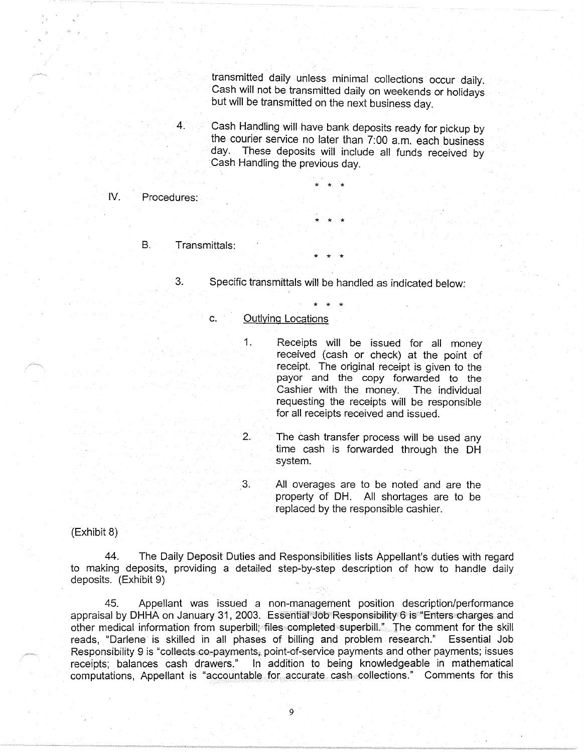transmitted daily unless minimal collections occur daily. Cash will not be transmitted daily on weekends or holidays but will be transmitted on the next business day.

4. Cash Handling will have bank deposits ready for pickup by the courier service no later than 7:00 a.m. each business day. These deposits will include all funds received by Cash Handling the previous day.

## IV. Procedures:

- B. Transmittals:
	- 3. Specific transmittals will be handled as indicated below:

\* \* \*

\* \* \*

\* \* \*

\* \* \*

#### C. Outlying Locations

1. Receipts will be issued for all money received (cash or check) at the point of receipt. The original receipt is given to the payor and the copy forwarded to the Cashier with the. money. The individual requesting the receipts will be responsible for all receipts received and issued.

2. The cash transfer process will be used any time cash is forwarded through the DH system.

3. All overages are to be noted and are the property of DH. All shortages are to be replaced by the responsible cashier.

### (Exhibit 8)

44. The Daily Deposit Duties and Responsibilities lists Appellant's duties with regard to making deposits, providing a detailed step-by-step description of how to handle daily deposits. (Exhibit 9)

45. Appellant was issued a non-management position description/performance appraisal by DHHA on January 31, 2003. Essential Job Responsibility 6 is "Enters charges and other medical information from superbill; files completed superbill." The comment for the skill reads, "Darlene is skilled in all phases of billing and problem research." Essential Job Responsibility 9 is "collects co-payments, point-of-service payments and other payments; issues receipts; balances cash drawers." In addition to being knowledgeable in mathematical computations, Appellant is "accountable for accurate cash. collections." Comments for this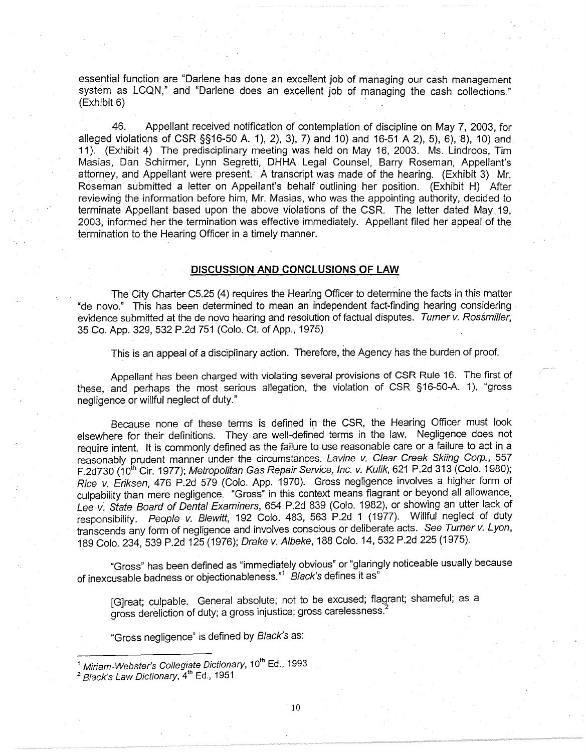essential function are "Darlene has done an excellent job of managing our cash management system as LCQN," and "Darlene does an excellent job of managing the cash collections." (Exhibit 6) .

46. Appellant received notification of contemplation of discipline on May 7, 2003, for alleged violations of CSR §§16-50 A. 1), 2), 3), 7) and 10) and 16-51 A 2), 5), 6), 8), 10) and 11 ). (Exhibit 4) The predisciplinary meeting was held on May 16, 2003. Ms. Lindroos, Tim Masias, Dan Schirmer, Lynn Segretti, DHHA Legal Counsel, Barry Roseman, Appellant's attorney, and Appellant were present. A transcript was made of the hearing. (Exhibit 3) Mr. Roseman submitted a letter on Appellant's behalf· outlining her position. (Exhibit H) After reviewing the information before him, Mr. Masias, who was the appointing authority, decided to terminate Appellant based upon the above violations of the CSR. The letter dated May 19, 2003, informed her the termination was effective immediately. Appellant filed her appeal of the termination to the Hearing Officer in a timely manner.

### **DISCUSSION AND CONCLUSIONS OF LAW**

The City Charter C5.25 (4) requires the Hearing Officer to determine the facts in this matter "de novo." This has been determined to mean an independent fact-finding hearing considering evidence submitted at the de novo hearing and resolution of factual disputes. Turner v. Rossmiller, 35 Co. App. 329, 532 P.2d 751 (Colo. Ct. of App., 1975) .

This is an appeal of a disciplinary action. Therefore, the Agency has the burden of proof.

Appellant has been charged with violating several provisions of CSR Rule 16. The first of these, and perhaps the most serious allegation, the violation of CSR §16-50-A. 1), "gross negligence or willful neglect of duty."

Because none of these terms is defined in the CSR, the Hearing Officer must look elsewhere for their definitions. They are well-defined terms in the law. Negligence does not require intent. It is commonly defined as the failure to use reasonable care or a failure to act in a reasonably prudent manner under the circumstances. Lavine v. Clear Creek Skiing Corp., 557 F.2d730 (10<sup>th</sup> Cir. 1977); Metropolitan Gas Repair Service, Inc. v. Kulik, 621 P.2d 313 (Colo. 1980); Rice v. Eriksen, 476 P.2d 579 (Colo. App. 1970). Gross negligence involves a higher form of culpability than mere negligence. "Gross" in this context means flagrant or beyond all allowance, Lee v. State Board of Dental Examiners, 654 P.2d 839 (Colo. 1982), or showing an utter lack of responsibility. People v. Blewitt, 192 Colo. 483, 563 P.2d 1 (1977). Willful neglect of duty transcends any form of negligence and involves conscious or deliberate acts. See Turner v. Lyon, 189 Colo. 234, 539 P.2d 125 (1976); Drake v. Albeke, 188 Colo. 14,532 P.2d 225 (1975).

"Gross" has been defined as "immediately obvious" or "glaringly noticeable usually because of inexcusable badness or objectionableness." $1$  Black's defines it as"

[G]reat; culpable. General absolute; not to be excused; flagrant; shameful; as a gross dereliction of duty; a gross injustice; gross carelessness.<sup>2</sup>

"Gross negligence" is defined by Black's as:

Miriam-Webster's Collegiate Dictionary, 10<sup>th</sup> Ed., 1993

 $\frac{2}{3}$  Black's Law Dictionary,  $4^{\text{th}}$  Ed., 1951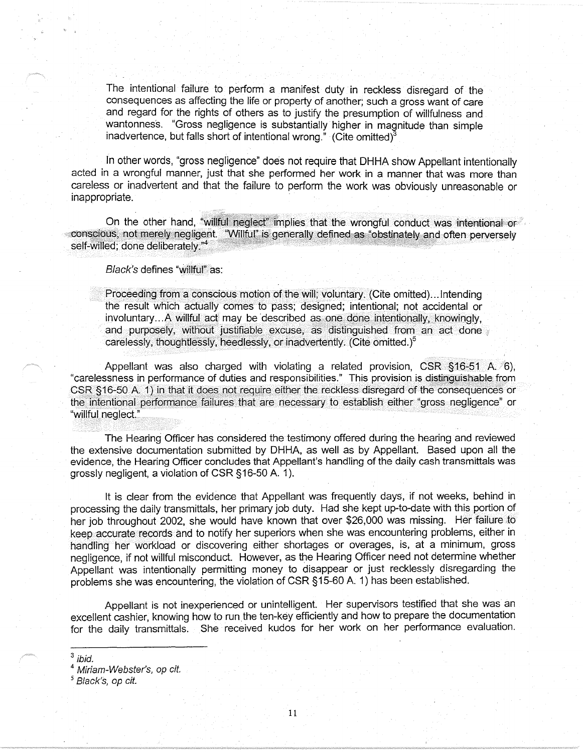The intentional failure to perform a manifest duty in reckless disregard of the consequences as affecting the life or property of another; such a gross want of care and regard for the rights of others as to justify the presumption of willfulness and wantonness. "Gross negligence is substantially higher in magnitude than simple inadvertence, but falls short of intentional wrong." (Cite omitted)<sup>3</sup>

In other words, "gross negligence" does not require that DHHA show Appellant intentionally acted in a wrongful manner, just that she performed her work in a manner that was more than careless or inadvertent and that the failure to perform the work was obviously unreasonable or inappropriate.

On the other hand, "willful neglect" implies that the wrongful conduct was intentional or conscious, not merely negligent. "Willful" is generally defined as "obstinately and often perversely<br>self-willed: done deliberately "<sup>4</sup>

Black's defines "willful" as:

Proceeding from a conscious motion of the will; voluntary. (Cite omitted)... Intending the result which actually comes to pass; designed; intentional; not accidental or involuntary... A willful act may be described as one done intentionally, knowingly, and purposely, without justifiable excuse, as distinguished from an act done carelessly, thoughtlessly, heedlessly, *or* inadvertently. (Cite omitted. )5

Appellant was also charged with violating a related provision,  $CSR$  §16-51 A. 6), "carelessness in performance of duties and responsibilities." This provision is distinguishable from CSR §16-50 A. 1) in that it does not require either the reckless disregard of the consequences or the intentional performance failures that are necessary to establish either "gross negligence" or "willful neglect."

The Hearing Officer has considered the testimony offered during the hearing and reviewed the extensive documentation submitted by DHHA, as well as by Appellant. Based upon all the evidence, the Hearing Officer concludes that Appellant's handling of the daily cash transmittals was grossly negligent, a violation of CSR §16-50 A. 1 ).

It is clear from the evidence that Appellant was frequently days, if not weeks, behind in processing the daily transmittals, her primary job duty. Had she kept up-to-date with this portion of her job throughout 2002, she would have known that over \$26,000 was missing. Her failure to keep accurate records and to notify her superiors when she was encountering problems, either in handling her workload or discovering either shortages or overages, is, at a minimum, gross negligence, if not willful misconduct. However, as the Hearing Officer need not determine whether Appellant was intentionally permitting money to disappear or just recklessly disregarding the problems she was encountering, the violation of CSR §15-60 A. 1) has been established.

Appellant is not inexperienced or unintelligent. Her supervisors testified that she was an excellent cashier, knowing how to run the ten-key efficiently and how to prepare the documentation for the daily transmittals. She received kudos for her work on her performance evaluation.

 $3$  ibid.

<sup>4</sup> Miriam-Webster's, op cit.

<sup>5</sup> Black's, op cit.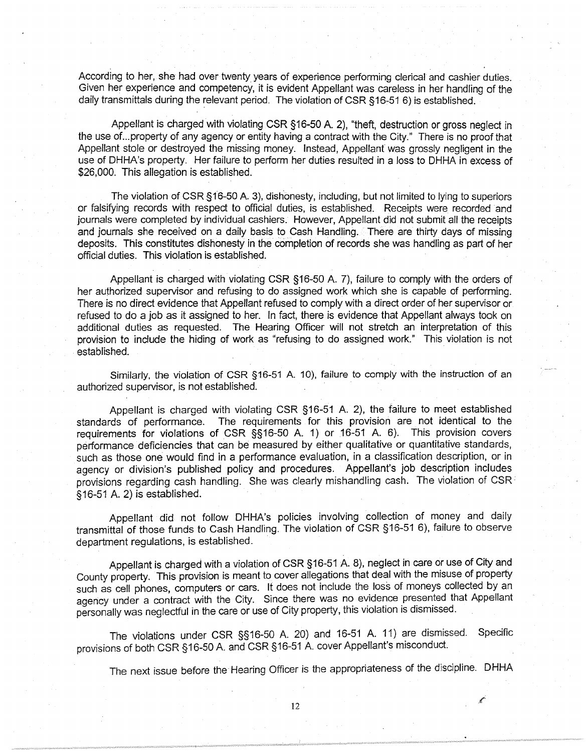According to her, she had over twenty years of experience performing clerical and cashier duties. Given her experience and competency, it is evident Appellant was careless in her handling of the daily transmittals during the relevant period. The violation of CSR §16-51 6) is established.

Appellant is charged with violating CSR § 16-50 A. 2), "theft, destruction or gross neglect in the use of ... property of any agency or entity having a contract with the City." There is no proof that Appellant stole or destroyed the missing money. Instead, Appellant was grossly negligent in the use of DHHA's property. Her failure to perform her duties resulted in a loss to DHHA in excess of \$26,000. This allegation is established.

The violation of CSR §16-50 A. 3), dishonesty, including, but not limited to lying to superiors or falsifying records with respect to official duties, is established. Receipts were recorded and journals were completed by individual cashiers. However, Appellant did not submit all the receipts and journals she received on a daily basis to Cash Handling. There are thirty days of missing deposits. This constitutes dishonesty in the completion of records she was handling as part of her official duties. This violation is established.

Appellant is charged with violating CSR §16-50 A. 7), failure to comply with the orders of her authorized supervisor and refusing to do assigned work which she is capable of performing. There is no direct evidence that Appellant refused to comply with a direct order of her supervisor or refused to do a job as it assigned to her. In fact, there is evidence that Appellant always took on additional duties as requested. The Hearing Officer will not stretch an interpretation of this provision to include the hiding of work as "refusing to do assigned work." This violation is not . established.

Similarly, the violation of CSR §16-51 A. 10), failure to comply with the instruction of an authorized supervisor, is not established.

Appellant is charged with violating CSR §16-51 A. 2), the failure to meet established standards of performance. The requirements for this provision are not identical to the requirements for violations of CSR §§16-50 A. 1) or 16-51 A. 6). This provision covers performance deficiencies that can be measured by either qualitative or quantitative standards, such as those one would find in a performance evaluation, in a classification description, or in agency or division's published policy and procedures. Appellant's job description includes provisions regarding cash handling. She was clearly mishandling cash. The violation of CSR<sup>2</sup> §16-51 A. 2) is established.

Appellant did not follow DHHA's policies involving collection of money and daily transmittal of those funds to Cash Handling. The violation of CSR §16-51 6), failure to observe department regulations, is established.

Appellant is charged with a violation of CSR §16-51 A. 8), neglect in care or use of City and County property. This provision is meant to cover allegations that deal with the misuse of property such as cell phones, computers or cars. It does not include the loss of moneys collected by an agency under a contract with the City. Since there was no evidence presented that Appellant personally was neglectful in the care or use of City property, this violation is dismissed.

The violations under CSR §§16-50 A. 20) and 16-51 A. 11) are dismissed. Specific provisions of both CSR §16-50 A and CSR §16-51 A. cover Appellant's misconduct.

The next issue before the Hearing Officer is the appropriateness of the discipline. DHHA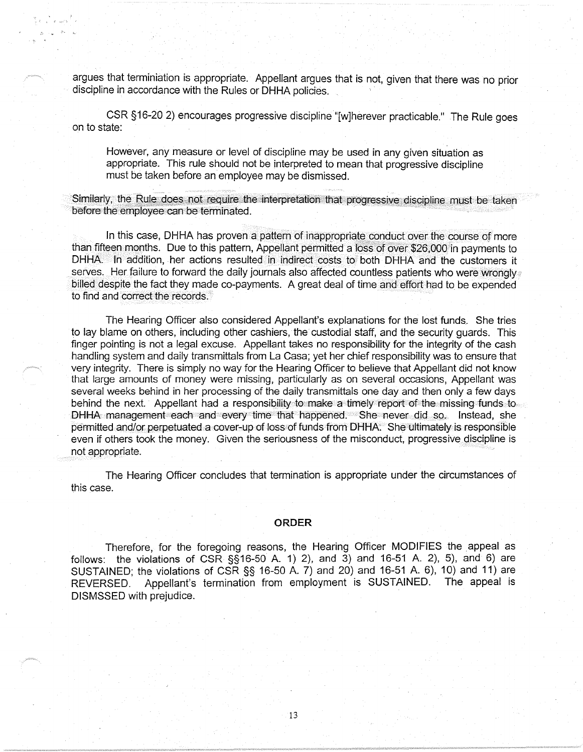argues that terminiation is appropriate. Appellant argues that is not, given that there was no prior discipline in accordance with the Rules or DHHA policies.

CSR §16-20 2) encourages progressive discipline "[w]herever practicable." The Rule goes on to state:

However, any measure or level of discipline may be used in any given situation as appropriate. This rule should not be interpreted to mean that progressive discipline must be taken before an employee may be dismissed.

Similarly, the Rule does not require the interpretation that progressive discipline must be taken before the employee can be terminated.

In this case, DHHA has proven a pattern of inappropriate conduct over the course of more than fifteen months. Due to this pattern, Appellant permitted a Ioss of over \$26,000 in payments to DHHA. In addition, her actions resulted in indirect costs to both DHHA and the customers it serves. Her failure to forward the daily journals also affected countless patients who were wrongly billed despite the fact they made co-payments. A great deal of time and effort had to be expended to find and correct the records.

The Hearing Officer also considered Appellant's explanations for the lost funds. She tries to lay blame on others, including other cashiers, the custodial staff, and the security guards. This finger pointing is not a legal excuse. Appellant takes no responsibility for the integrity of the cash handling system and daily transmittals from La Casa; yet her chief responsibility was to ensure that very integrity. There is simply no way for the Hearing Officer to believe that Appellant did not know that large amounts of money were missing, particularly as on several occasions, Appellant was several weeks behind in her processing of the daily transmittals one day and then only a few days behind the next. Appellant had a responsibility to make a timely report of the missing funds to DHHA management each and every time that happened. She never did so. Instead, she permitted and/or perpetuated a cover-up of loss of funds from DHHA: She ultimately is responsible even if others took the money. Given the seriousness of the misconduct, progressive discipline is not appropriate.

The Hearing Officer concludes that termination is appropriate under the circumstances of this case.

#### **ORDER**

Therefore, for the foregoing reasons, the Hearing Officer MODIFIES the \_appeal as follows: the violations of  $CSR S_916-50 A. 1$  2), and  $3$  and 16-51 A. 2), 5), and 6) are SUSTAINED; the violations of CSR §§ 16-50 A. 7) and 20) and 16-51 A. 6), 10) and 11) are REVERSED. Appellant's termination from employment is SUSTAINED. The appeal is DISMSSED with prejudice.